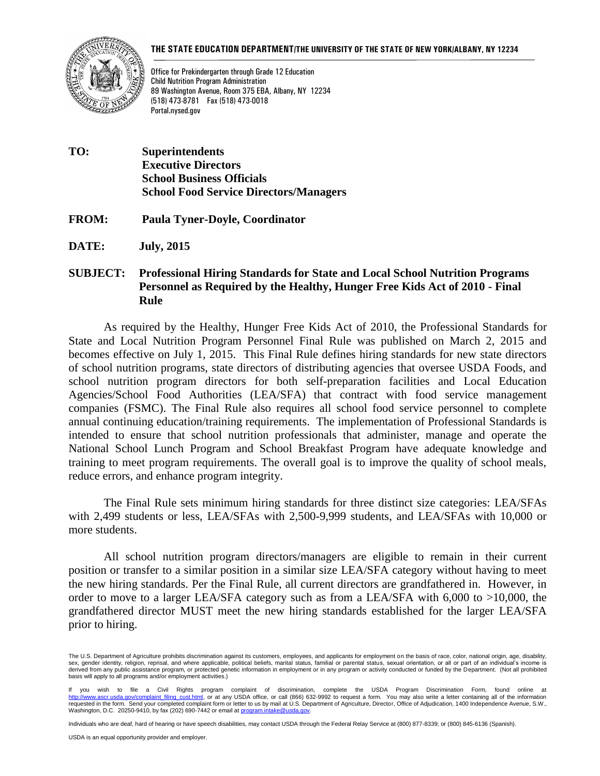#### **THE STATE EDUCATION DEPARTMENT/THE UNIVERSITY OF THE STATE OF NEW YORK/ALBANY, NY 12234**



Office for Prekindergarten through Grade 12 Education Child Nutrition Program Administration 89 Washington Avenue, Room 375 EBA, Albany, NY 12234 (518) 473-8781 Fax (518) 473-0018 Portal.nysed.gov

- **TO: Superintendents Executive Directors School Business Officials School Food Service Directors/Managers**
- **FROM: Paula Tyner-Doyle, Coordinator**

**DATE: July, 2015**

#### **SUBJECT: Professional Hiring Standards for State and Local School Nutrition Programs Personnel as Required by the Healthy, Hunger Free Kids Act of 2010 - Final Rule**

As required by the Healthy, Hunger Free Kids Act of 2010, the Professional Standards for State and Local Nutrition Program Personnel Final Rule was published on March 2, 2015 and becomes effective on July 1, 2015. This Final Rule defines hiring standards for new state directors of school nutrition programs, state directors of distributing agencies that oversee USDA Foods, and school nutrition program directors for both self-preparation facilities and Local Education Agencies/School Food Authorities (LEA/SFA) that contract with food service management companies (FSMC). The Final Rule also requires all school food service personnel to complete annual continuing education/training requirements. The implementation of Professional Standards is intended to ensure that school nutrition professionals that administer, manage and operate the National School Lunch Program and School Breakfast Program have adequate knowledge and training to meet program requirements. The overall goal is to improve the quality of school meals, reduce errors, and enhance program integrity.

The Final Rule sets minimum hiring standards for three distinct size categories: LEA/SFAs with 2,499 students or less, LEA/SFAs with 2,500-9,999 students, and LEA/SFAs with 10,000 or more students.

All school nutrition program directors/managers are eligible to remain in their current position or transfer to a similar position in a similar size LEA/SFA category without having to meet the new hiring standards. Per the Final Rule, all current directors are grandfathered in. However, in order to move to a larger LEA/SFA category such as from a LEA/SFA with 6,000 to >10,000, the grandfathered director MUST meet the new hiring standards established for the larger LEA/SFA prior to hiring.

Individuals who are deaf, hard of hearing or have speech disabilities, may contact USDA through the Federal Relay Service at (800) 877-8339; or (800) 845-6136 (Spanish).

The U.S. Department of Agriculture prohibits discrimination against its customers, employees, and applicants for employment on the basis of race, color, national origin, age, disability, sex, gender identity, religion, reprisal, and where applicable, political beliefs, marital status, familial or parental status, sexual orientation, or all or part of an individual's income is<br>derived from any public assist basis will apply to all programs and/or employment activities.)

If you wish to file a Civil Rights program complaint of discrimination, complete the USDA Program Discrimination Form, found online at<br>http://www.ascr.usda.gov/complaint\_filing\_cust.html,oratanyUSDAoffice,orcall(866)632-99 requested in the form. Send your completed complaint form or letter to us by mail at U.S. Department of Agriculture, Director, Office of Adjudication, 1400 Independence Avenue, S.W., Washington, D.C. 20250-9410, by fax (202) 690-7442 or email a[t program.intake@usda.gov.](mailto:program.intake@usda.gov)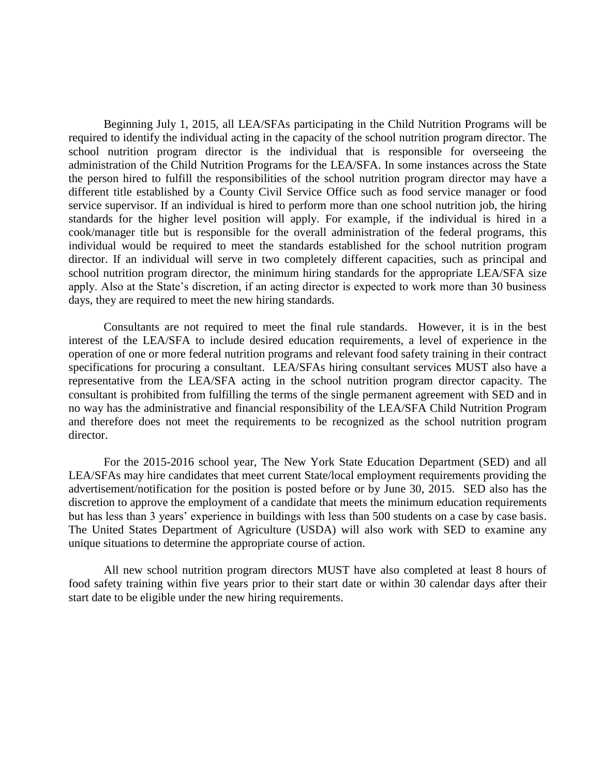Beginning July 1, 2015, all LEA/SFAs participating in the Child Nutrition Programs will be required to identify the individual acting in the capacity of the school nutrition program director. The school nutrition program director is the individual that is responsible for overseeing the administration of the Child Nutrition Programs for the LEA/SFA. In some instances across the State the person hired to fulfill the responsibilities of the school nutrition program director may have a different title established by a County Civil Service Office such as food service manager or food service supervisor. If an individual is hired to perform more than one school nutrition job, the hiring standards for the higher level position will apply. For example, if the individual is hired in a cook/manager title but is responsible for the overall administration of the federal programs, this individual would be required to meet the standards established for the school nutrition program director. If an individual will serve in two completely different capacities, such as principal and school nutrition program director, the minimum hiring standards for the appropriate LEA/SFA size apply. Also at the State's discretion, if an acting director is expected to work more than 30 business days, they are required to meet the new hiring standards.

Consultants are not required to meet the final rule standards. However, it is in the best interest of the LEA/SFA to include desired education requirements, a level of experience in the operation of one or more federal nutrition programs and relevant food safety training in their contract specifications for procuring a consultant. LEA/SFAs hiring consultant services MUST also have a representative from the LEA/SFA acting in the school nutrition program director capacity. The consultant is prohibited from fulfilling the terms of the single permanent agreement with SED and in no way has the administrative and financial responsibility of the LEA/SFA Child Nutrition Program and therefore does not meet the requirements to be recognized as the school nutrition program director.

For the 2015-2016 school year, The New York State Education Department (SED) and all LEA/SFAs may hire candidates that meet current State/local employment requirements providing the advertisement/notification for the position is posted before or by June 30, 2015. SED also has the discretion to approve the employment of a candidate that meets the minimum education requirements but has less than 3 years' experience in buildings with less than 500 students on a case by case basis. The United States Department of Agriculture (USDA) will also work with SED to examine any unique situations to determine the appropriate course of action.

All new school nutrition program directors MUST have also completed at least 8 hours of food safety training within five years prior to their start date or within 30 calendar days after their start date to be eligible under the new hiring requirements.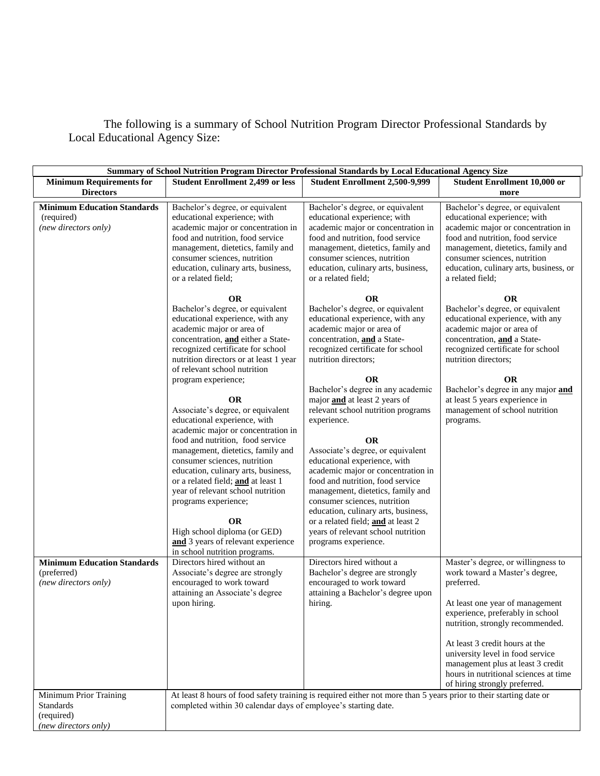The following is a summary of School Nutrition Program Director Professional Standards by Local Educational Agency Size:

| Summary of School Nutrition Program Director Professional Standards by Local Educational Agency Size |                                                                                                                                                                                                                                                                                                                                                                                                                                                                                                                                                                                                                                                                                                                                                                                           |                                                                                                                                                                                                                                                                                                                                                                                                                                                                                                                                                                                                                                                                                                                                |                                                                                                                                                                                                                                                                                                                                                                                    |
|------------------------------------------------------------------------------------------------------|-------------------------------------------------------------------------------------------------------------------------------------------------------------------------------------------------------------------------------------------------------------------------------------------------------------------------------------------------------------------------------------------------------------------------------------------------------------------------------------------------------------------------------------------------------------------------------------------------------------------------------------------------------------------------------------------------------------------------------------------------------------------------------------------|--------------------------------------------------------------------------------------------------------------------------------------------------------------------------------------------------------------------------------------------------------------------------------------------------------------------------------------------------------------------------------------------------------------------------------------------------------------------------------------------------------------------------------------------------------------------------------------------------------------------------------------------------------------------------------------------------------------------------------|------------------------------------------------------------------------------------------------------------------------------------------------------------------------------------------------------------------------------------------------------------------------------------------------------------------------------------------------------------------------------------|
| <b>Minimum Requirements for</b><br><b>Directors</b>                                                  | <b>Student Enrollment 2,499 or less</b>                                                                                                                                                                                                                                                                                                                                                                                                                                                                                                                                                                                                                                                                                                                                                   | Student Enrollment 2,500-9,999                                                                                                                                                                                                                                                                                                                                                                                                                                                                                                                                                                                                                                                                                                 | <b>Student Enrollment 10,000 or</b><br>more                                                                                                                                                                                                                                                                                                                                        |
| <b>Minimum Education Standards</b><br>(required)<br>(new directors only)                             | Bachelor's degree, or equivalent<br>educational experience; with<br>academic major or concentration in<br>food and nutrition, food service<br>management, dietetics, family and<br>consumer sciences, nutrition<br>education, culinary arts, business,<br>or a related field;                                                                                                                                                                                                                                                                                                                                                                                                                                                                                                             | Bachelor's degree, or equivalent<br>educational experience; with<br>academic major or concentration in<br>food and nutrition, food service<br>management, dietetics, family and<br>consumer sciences, nutrition<br>education, culinary arts, business,<br>or a related field;                                                                                                                                                                                                                                                                                                                                                                                                                                                  | Bachelor's degree, or equivalent<br>educational experience; with<br>academic major or concentration in<br>food and nutrition, food service<br>management, dietetics, family and<br>consumer sciences, nutrition<br>education, culinary arts, business, or<br>a related field;                                                                                                      |
|                                                                                                      | <b>OR</b><br>Bachelor's degree, or equivalent<br>educational experience, with any<br>academic major or area of<br>concentration, and either a State-<br>recognized certificate for school<br>nutrition directors or at least 1 year<br>of relevant school nutrition<br>program experience;<br><b>OR</b><br>Associate's degree, or equivalent<br>educational experience, with<br>academic major or concentration in<br>food and nutrition, food service<br>management, dietetics, family and<br>consumer sciences, nutrition<br>education, culinary arts, business,<br>or a related field; and at least 1<br>year of relevant school nutrition<br>programs experience;<br><b>OR</b><br>High school diploma (or GED)<br>and 3 years of relevant experience<br>in school nutrition programs. | <b>OR</b><br>Bachelor's degree, or equivalent<br>educational experience, with any<br>academic major or area of<br>concentration, and a State-<br>recognized certificate for school<br>nutrition directors:<br><b>OR</b><br>Bachelor's degree in any academic<br>major and at least 2 years of<br>relevant school nutrition programs<br>experience.<br><b>OR</b><br>Associate's degree, or equivalent<br>educational experience, with<br>academic major or concentration in<br>food and nutrition, food service<br>management, dietetics, family and<br>consumer sciences, nutrition<br>education, culinary arts, business,<br>or a related field; and at least 2<br>years of relevant school nutrition<br>programs experience. | <b>OR</b><br>Bachelor's degree, or equivalent<br>educational experience, with any<br>academic major or area of<br>concentration, and a State-<br>recognized certificate for school<br>nutrition directors:<br><b>OR</b><br>Bachelor's degree in any major and<br>at least 5 years experience in<br>management of school nutrition<br>programs.                                     |
| <b>Minimum Education Standards</b><br>(preferred)<br>(new directors only)                            | Directors hired without an<br>Associate's degree are strongly<br>encouraged to work toward<br>attaining an Associate's degree<br>upon hiring.                                                                                                                                                                                                                                                                                                                                                                                                                                                                                                                                                                                                                                             | Directors hired without a<br>Bachelor's degree are strongly<br>encouraged to work toward<br>attaining a Bachelor's degree upon<br>hiring.                                                                                                                                                                                                                                                                                                                                                                                                                                                                                                                                                                                      | Master's degree, or willingness to<br>work toward a Master's degree,<br>preferred.<br>At least one year of management<br>experience, preferably in school<br>nutrition, strongly recommended.<br>At least 3 credit hours at the<br>university level in food service<br>management plus at least 3 credit<br>hours in nutritional sciences at time<br>of hiring strongly preferred. |
| Minimum Prior Training<br><b>Standards</b><br>(required)<br>(new directors only)                     | completed within 30 calendar days of employee's starting date.                                                                                                                                                                                                                                                                                                                                                                                                                                                                                                                                                                                                                                                                                                                            | At least 8 hours of food safety training is required either not more than 5 years prior to their starting date or                                                                                                                                                                                                                                                                                                                                                                                                                                                                                                                                                                                                              |                                                                                                                                                                                                                                                                                                                                                                                    |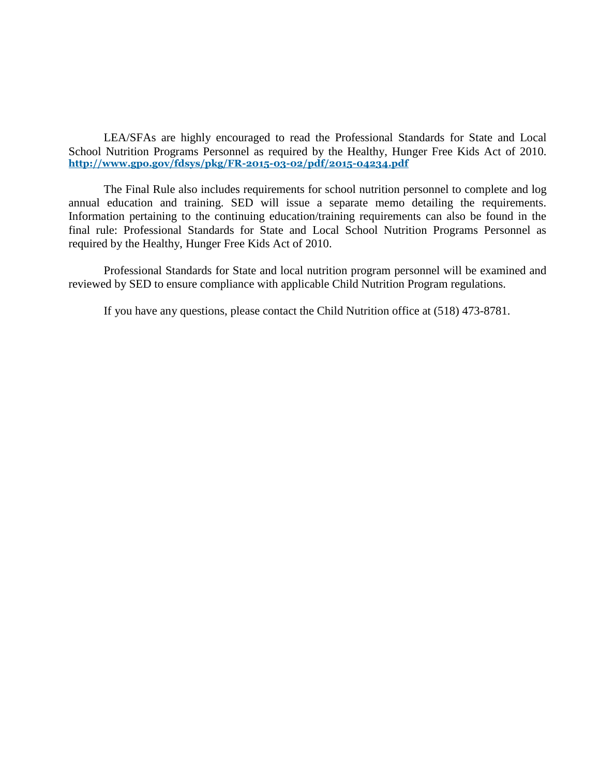LEA/SFAs are highly encouraged to read the Professional Standards for State and Local School Nutrition Programs Personnel as required by the Healthy, Hunger Free Kids Act of 2010. **http://www.gpo.gov/fdsys/pkg/FR-2015-03-02/pdf/2015-04234.pdf**

The Final Rule also includes requirements for school nutrition personnel to complete and log annual education and training. SED will issue a separate memo detailing the requirements. Information pertaining to the continuing education/training requirements can also be found in the final rule: Professional Standards for State and Local School Nutrition Programs Personnel as required by the Healthy, Hunger Free Kids Act of 2010.

Professional Standards for State and local nutrition program personnel will be examined and reviewed by SED to ensure compliance with applicable Child Nutrition Program regulations.

If you have any questions, please contact the Child Nutrition office at (518) 473-8781.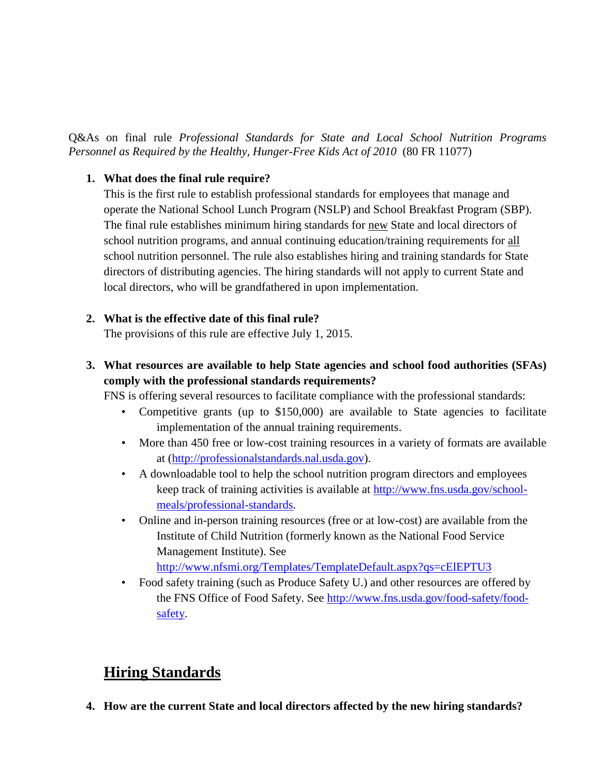Q&As on final rule *Professional Standards for State and Local School Nutrition Programs Personnel as Required by the Healthy, Hunger-Free Kids Act of 2010* (80 FR 11077)

#### **1. What does the final rule require?**

This is the first rule to establish professional standards for employees that manage and operate the National School Lunch Program (NSLP) and School Breakfast Program (SBP). The final rule establishes minimum hiring standards for new State and local directors of school nutrition programs, and annual continuing education/training requirements for all school nutrition personnel. The rule also establishes hiring and training standards for State directors of distributing agencies. The hiring standards will not apply to current State and local directors, who will be grandfathered in upon implementation.

### **2. What is the effective date of this final rule?**

The provisions of this rule are effective July 1, 2015.

### **3. What resources are available to help State agencies and school food authorities (SFAs) comply with the professional standards requirements?**

FNS is offering several resources to facilitate compliance with the professional standards:

- Competitive grants (up to \$150,000) are available to State agencies to facilitate implementation of the annual training requirements.
- More than 450 free or low-cost training resources in a variety of formats are available at [\(http://professionalstandards.nal.usda.gov\)](http://professionalstandards.nal.usda.gov/).
- A downloadable tool to help the school nutrition program directors and employees keep track of training activities is available at [http://www.fns.usda.gov/school](http://www.fns.usda.gov/school-meals/professional-standards)[meals/professional-standards.](http://www.fns.usda.gov/school-meals/professional-standards)
- Online and in-person training resources (free or at low-cost) are available from the Institute of Child Nutrition (formerly known as the National Food Service Management Institute). See <http://www.nfsmi.org/Templates/TemplateDefault.aspx?qs=cElEPTU3>
- Food safety training (such as Produce Safety U.) and other resources are offered by the FNS Office of Food Safety. See [http://www.fns.usda.gov/food-safety/food](http://www.fns.usda.gov/food-safety/food-safety)[safety.](http://www.fns.usda.gov/food-safety/food-safety)

# **Hiring Standards**

**4. How are the current State and local directors affected by the new hiring standards?**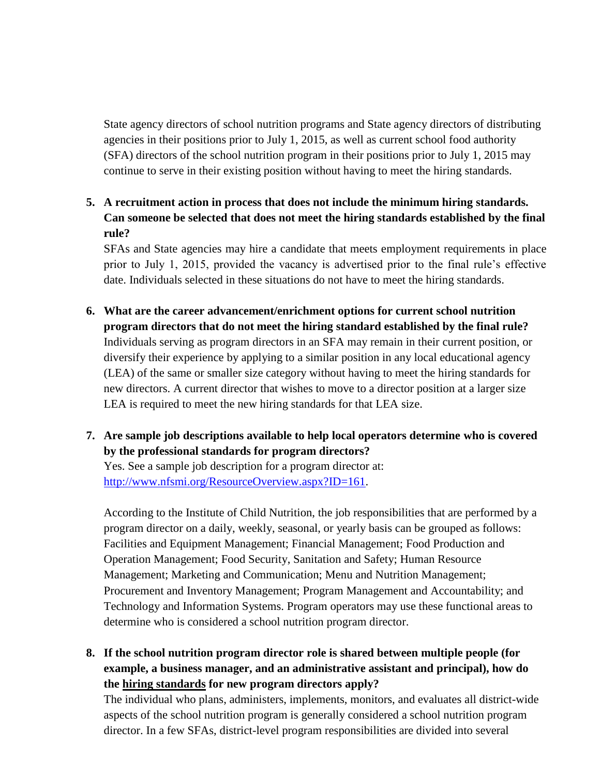State agency directors of school nutrition programs and State agency directors of distributing agencies in their positions prior to July 1, 2015, as well as current school food authority (SFA) directors of the school nutrition program in their positions prior to July 1, 2015 may continue to serve in their existing position without having to meet the hiring standards.

**5. A recruitment action in process that does not include the minimum hiring standards. Can someone be selected that does not meet the hiring standards established by the final rule?**

SFAs and State agencies may hire a candidate that meets employment requirements in place prior to July 1, 2015, provided the vacancy is advertised prior to the final rule's effective date. Individuals selected in these situations do not have to meet the hiring standards.

- **6. What are the career advancement/enrichment options for current school nutrition program directors that do not meet the hiring standard established by the final rule?** Individuals serving as program directors in an SFA may remain in their current position, or diversify their experience by applying to a similar position in any local educational agency (LEA) of the same or smaller size category without having to meet the hiring standards for new directors. A current director that wishes to move to a director position at a larger size LEA is required to meet the new hiring standards for that LEA size.
- **7. Are sample job descriptions available to help local operators determine who is covered by the professional standards for program directors?**

Yes. See a sample job description for a program director at: [http://www.nfsmi.org/ResourceOverview.aspx?ID=161.](http://www.nfsmi.org/ResourceOverview.aspx?ID=161)

According to the Institute of Child Nutrition, the job responsibilities that are performed by a program director on a daily, weekly, seasonal, or yearly basis can be grouped as follows: Facilities and Equipment Management; Financial Management; Food Production and Operation Management; Food Security, Sanitation and Safety; Human Resource Management; Marketing and Communication; Menu and Nutrition Management; Procurement and Inventory Management; Program Management and Accountability; and Technology and Information Systems. Program operators may use these functional areas to determine who is considered a school nutrition program director.

**8. If the school nutrition program director role is shared between multiple people (for example, a business manager, and an administrative assistant and principal), how do the hiring standards for new program directors apply?**

The individual who plans, administers, implements, monitors, and evaluates all district-wide aspects of the school nutrition program is generally considered a school nutrition program director. In a few SFAs, district-level program responsibilities are divided into several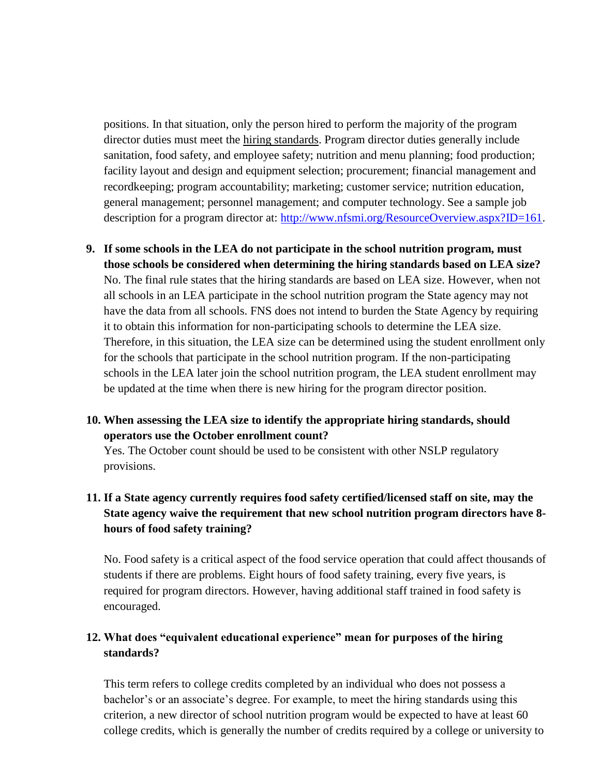positions. In that situation, only the person hired to perform the majority of the program director duties must meet the hiring standards. Program director duties generally include sanitation, food safety, and employee safety; nutrition and menu planning; food production; facility layout and design and equipment selection; procurement; financial management and recordkeeping; program accountability; marketing; customer service; nutrition education, general management; personnel management; and computer technology. See a sample job description for a program director at: [http://www.nfsmi.org/ResourceOverview.aspx?ID=161.](http://www.nfsmi.org/ResourceOverview.aspx?ID=161)

**9. If some schools in the LEA do not participate in the school nutrition program, must those schools be considered when determining the hiring standards based on LEA size?**  No. The final rule states that the hiring standards are based on LEA size. However, when not all schools in an LEA participate in the school nutrition program the State agency may not have the data from all schools. FNS does not intend to burden the State Agency by requiring it to obtain this information for non-participating schools to determine the LEA size. Therefore, in this situation, the LEA size can be determined using the student enrollment only for the schools that participate in the school nutrition program. If the non-participating schools in the LEA later join the school nutrition program, the LEA student enrollment may be updated at the time when there is new hiring for the program director position.

### **10. When assessing the LEA size to identify the appropriate hiring standards, should operators use the October enrollment count?**

Yes. The October count should be used to be consistent with other NSLP regulatory provisions.

### **11. If a State agency currently requires food safety certified/licensed staff on site, may the State agency waive the requirement that new school nutrition program directors have 8 hours of food safety training?**

No. Food safety is a critical aspect of the food service operation that could affect thousands of students if there are problems. Eight hours of food safety training, every five years, is required for program directors. However, having additional staff trained in food safety is encouraged.

### **12. What does "equivalent educational experience" mean for purposes of the hiring standards?**

This term refers to college credits completed by an individual who does not possess a bachelor's or an associate's degree. For example, to meet the hiring standards using this criterion, a new director of school nutrition program would be expected to have at least 60 college credits, which is generally the number of credits required by a college or university to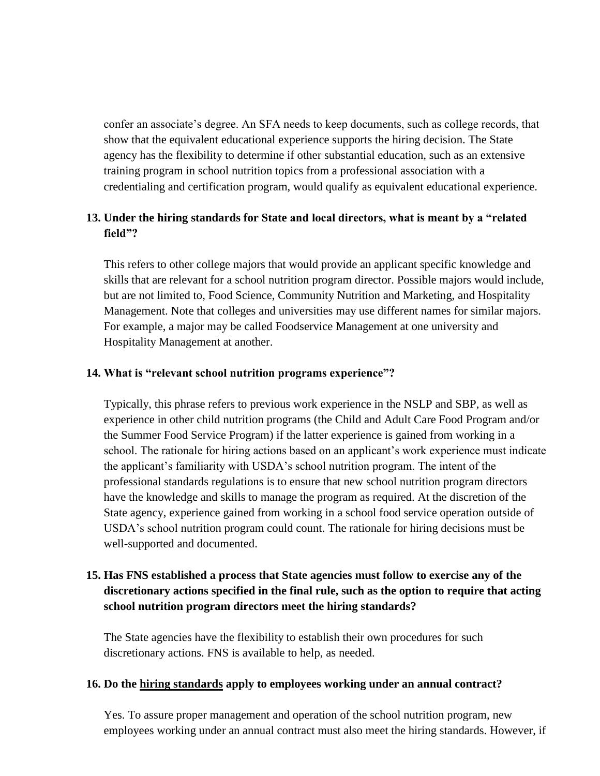confer an associate's degree. An SFA needs to keep documents, such as college records, that show that the equivalent educational experience supports the hiring decision. The State agency has the flexibility to determine if other substantial education, such as an extensive training program in school nutrition topics from a professional association with a credentialing and certification program, would qualify as equivalent educational experience.

### **13. Under the hiring standards for State and local directors, what is meant by a "related field"?**

This refers to other college majors that would provide an applicant specific knowledge and skills that are relevant for a school nutrition program director. Possible majors would include, but are not limited to, Food Science, Community Nutrition and Marketing, and Hospitality Management. Note that colleges and universities may use different names for similar majors. For example, a major may be called Foodservice Management at one university and Hospitality Management at another.

#### **14. What is "relevant school nutrition programs experience"?**

Typically, this phrase refers to previous work experience in the NSLP and SBP, as well as experience in other child nutrition programs (the Child and Adult Care Food Program and/or the Summer Food Service Program) if the latter experience is gained from working in a school. The rationale for hiring actions based on an applicant's work experience must indicate the applicant's familiarity with USDA's school nutrition program. The intent of the professional standards regulations is to ensure that new school nutrition program directors have the knowledge and skills to manage the program as required. At the discretion of the State agency, experience gained from working in a school food service operation outside of USDA's school nutrition program could count. The rationale for hiring decisions must be well-supported and documented.

### **15. Has FNS established a process that State agencies must follow to exercise any of the discretionary actions specified in the final rule, such as the option to require that acting school nutrition program directors meet the hiring standards?**

The State agencies have the flexibility to establish their own procedures for such discretionary actions. FNS is available to help, as needed.

#### **16. Do the hiring standards apply to employees working under an annual contract?**

Yes. To assure proper management and operation of the school nutrition program, new employees working under an annual contract must also meet the hiring standards. However, if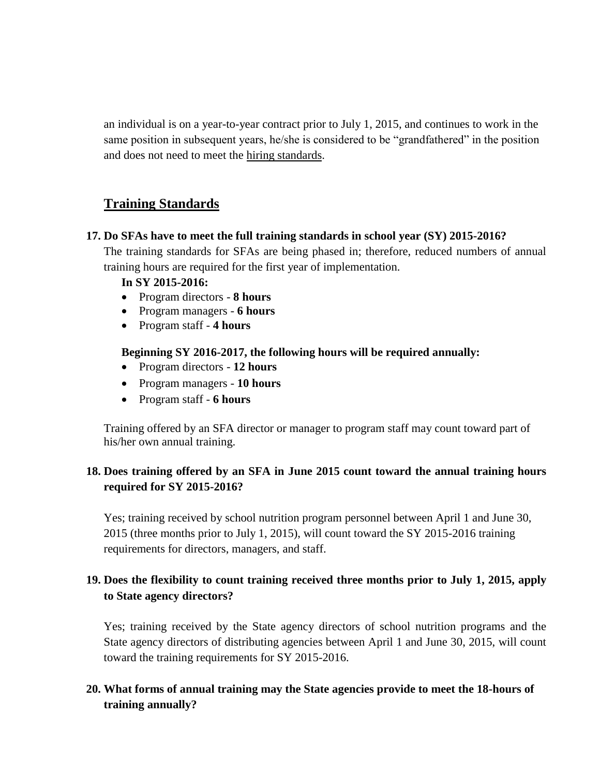an individual is on a year-to-year contract prior to July 1, 2015, and continues to work in the same position in subsequent years, he/she is considered to be "grandfathered" in the position and does not need to meet the hiring standards.

## **Training Standards**

#### **17. Do SFAs have to meet the full training standards in school year (SY) 2015-2016?**

The training standards for SFAs are being phased in; therefore, reduced numbers of annual training hours are required for the first year of implementation.

#### **In SY 2015-2016:**

- Program directors **8 hours**
- Program managers **6 hours**
- Program staff **4 hours**

#### **Beginning SY 2016-2017, the following hours will be required annually:**

- Program directors **12 hours**
- Program managers **10 hours**
- Program staff **6 hours**

Training offered by an SFA director or manager to program staff may count toward part of his/her own annual training.

### **18. Does training offered by an SFA in June 2015 count toward the annual training hours required for SY 2015-2016?**

Yes; training received by school nutrition program personnel between April 1 and June 30, 2015 (three months prior to July 1, 2015), will count toward the SY 2015-2016 training requirements for directors, managers, and staff.

### **19. Does the flexibility to count training received three months prior to July 1, 2015, apply to State agency directors?**

Yes; training received by the State agency directors of school nutrition programs and the State agency directors of distributing agencies between April 1 and June 30, 2015, will count toward the training requirements for SY 2015-2016.

### **20. What forms of annual training may the State agencies provide to meet the 18-hours of training annually?**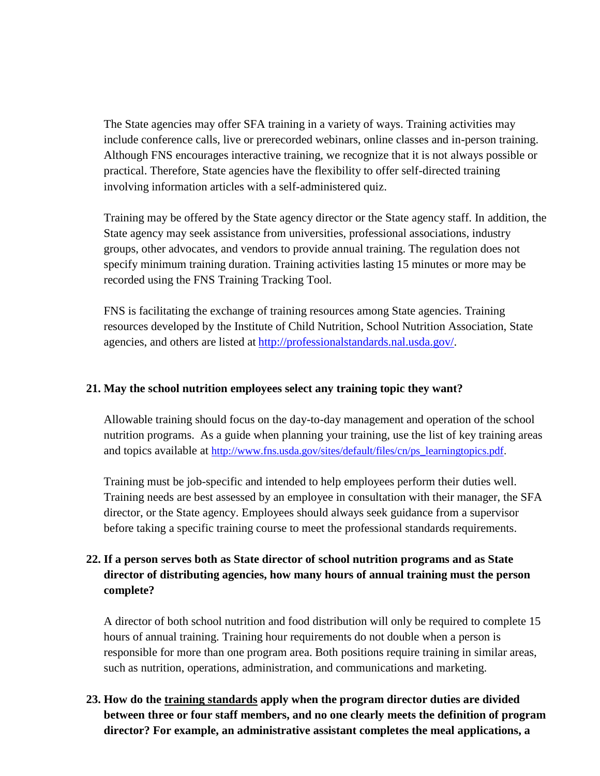The State agencies may offer SFA training in a variety of ways. Training activities may include conference calls, live or prerecorded webinars, online classes and in-person training. Although FNS encourages interactive training, we recognize that it is not always possible or practical. Therefore, State agencies have the flexibility to offer self-directed training involving information articles with a self-administered quiz.

Training may be offered by the State agency director or the State agency staff. In addition, the State agency may seek assistance from universities, professional associations, industry groups, other advocates, and vendors to provide annual training. The regulation does not specify minimum training duration. Training activities lasting 15 minutes or more may be recorded using the FNS Training Tracking Tool.

FNS is facilitating the exchange of training resources among State agencies. Training resources developed by the Institute of Child Nutrition, School Nutrition Association, State agencies, and others are listed at [http://professionalstandards.nal.usda.gov/.](http://professionalstandards.nal.usda.gov/)

#### **21. May the school nutrition employees select any training topic they want?**

Allowable training should focus on the day-to-day management and operation of the school nutrition programs. As a guide when planning your training, use the list of key training areas and topics available at [http://www.fns.usda.gov/sites/default/files/cn/ps\\_learningtopics.pdf.](http://www.fns.usda.gov/sites/default/files/cn/ps_learningtopics.pdf)

Training must be job-specific and intended to help employees perform their duties well. Training needs are best assessed by an employee in consultation with their manager, the SFA director, or the State agency. Employees should always seek guidance from a supervisor before taking a specific training course to meet the professional standards requirements.

### **22. If a person serves both as State director of school nutrition programs and as State director of distributing agencies, how many hours of annual training must the person complete?**

A director of both school nutrition and food distribution will only be required to complete 15 hours of annual training. Training hour requirements do not double when a person is responsible for more than one program area. Both positions require training in similar areas, such as nutrition, operations, administration, and communications and marketing.

### **23. How do the training standards apply when the program director duties are divided between three or four staff members, and no one clearly meets the definition of program director? For example, an administrative assistant completes the meal applications, a**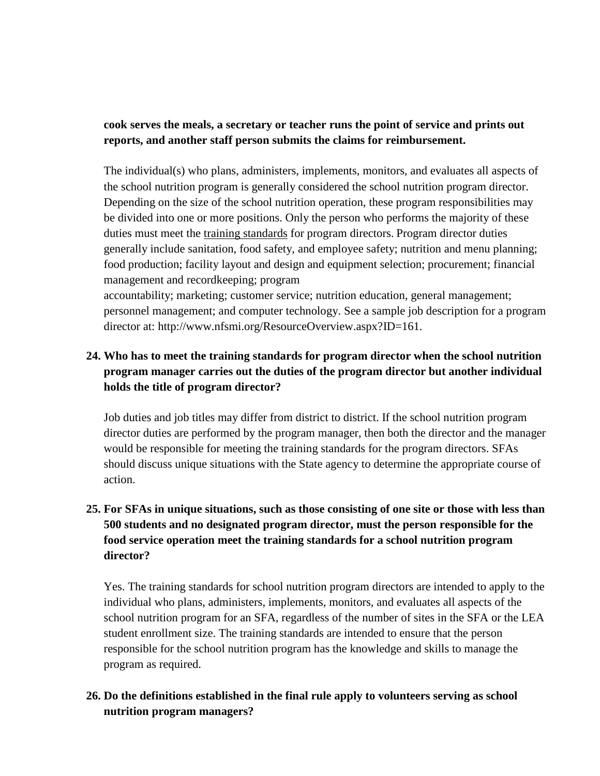### **cook serves the meals, a secretary or teacher runs the point of service and prints out reports, and another staff person submits the claims for reimbursement.**

The individual(s) who plans, administers, implements, monitors, and evaluates all aspects of the school nutrition program is generally considered the school nutrition program director. Depending on the size of the school nutrition operation, these program responsibilities may be divided into one or more positions. Only the person who performs the majority of these duties must meet the training standards for program directors. Program director duties generally include sanitation, food safety, and employee safety; nutrition and menu planning; food production; facility layout and design and equipment selection; procurement; financial management and recordkeeping; program

accountability; marketing; customer service; nutrition education, general management; personnel management; and computer technology. See a sample job description for a program director at: http://www.nfsmi.org/ResourceOverview.aspx?ID=161.

### **24. Who has to meet the training standards for program director when the school nutrition program manager carries out the duties of the program director but another individual holds the title of program director?**

Job duties and job titles may differ from district to district. If the school nutrition program director duties are performed by the program manager, then both the director and the manager would be responsible for meeting the training standards for the program directors. SFAs should discuss unique situations with the State agency to determine the appropriate course of action.

### **25. For SFAs in unique situations, such as those consisting of one site or those with less than 500 students and no designated program director, must the person responsible for the food service operation meet the training standards for a school nutrition program director?**

Yes. The training standards for school nutrition program directors are intended to apply to the individual who plans, administers, implements, monitors, and evaluates all aspects of the school nutrition program for an SFA, regardless of the number of sites in the SFA or the LEA student enrollment size. The training standards are intended to ensure that the person responsible for the school nutrition program has the knowledge and skills to manage the program as required.

### **26. Do the definitions established in the final rule apply to volunteers serving as school nutrition program managers?**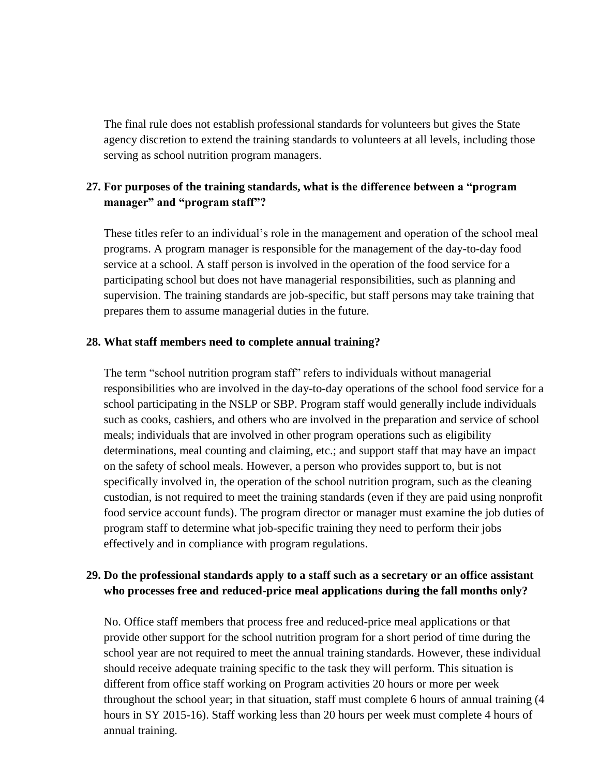The final rule does not establish professional standards for volunteers but gives the State agency discretion to extend the training standards to volunteers at all levels, including those serving as school nutrition program managers.

### **27. For purposes of the training standards, what is the difference between a "program manager" and "program staff"?**

These titles refer to an individual's role in the management and operation of the school meal programs. A program manager is responsible for the management of the day-to-day food service at a school. A staff person is involved in the operation of the food service for a participating school but does not have managerial responsibilities, such as planning and supervision. The training standards are job-specific, but staff persons may take training that prepares them to assume managerial duties in the future.

#### **28. What staff members need to complete annual training?**

The term "school nutrition program staff" refers to individuals without managerial responsibilities who are involved in the day-to-day operations of the school food service for a school participating in the NSLP or SBP. Program staff would generally include individuals such as cooks, cashiers, and others who are involved in the preparation and service of school meals; individuals that are involved in other program operations such as eligibility determinations, meal counting and claiming, etc.; and support staff that may have an impact on the safety of school meals. However, a person who provides support to, but is not specifically involved in, the operation of the school nutrition program, such as the cleaning custodian, is not required to meet the training standards (even if they are paid using nonprofit food service account funds). The program director or manager must examine the job duties of program staff to determine what job-specific training they need to perform their jobs effectively and in compliance with program regulations.

### **29. Do the professional standards apply to a staff such as a secretary or an office assistant who processes free and reduced-price meal applications during the fall months only?**

No. Office staff members that process free and reduced-price meal applications or that provide other support for the school nutrition program for a short period of time during the school year are not required to meet the annual training standards. However, these individual should receive adequate training specific to the task they will perform. This situation is different from office staff working on Program activities 20 hours or more per week throughout the school year; in that situation, staff must complete 6 hours of annual training (4 hours in SY 2015-16). Staff working less than 20 hours per week must complete 4 hours of annual training.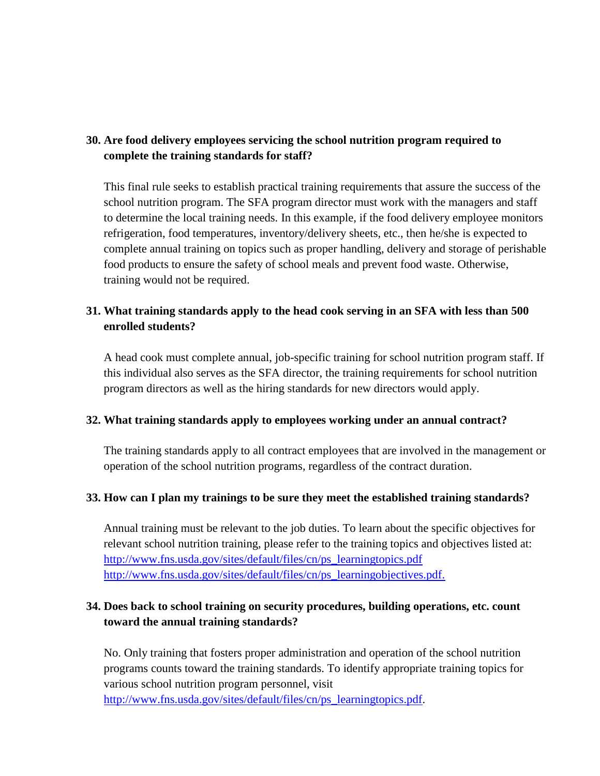### **30. Are food delivery employees servicing the school nutrition program required to complete the training standards for staff?**

This final rule seeks to establish practical training requirements that assure the success of the school nutrition program. The SFA program director must work with the managers and staff to determine the local training needs. In this example, if the food delivery employee monitors refrigeration, food temperatures, inventory/delivery sheets, etc., then he/she is expected to complete annual training on topics such as proper handling, delivery and storage of perishable food products to ensure the safety of school meals and prevent food waste. Otherwise, training would not be required.

### **31. What training standards apply to the head cook serving in an SFA with less than 500 enrolled students?**

A head cook must complete annual, job-specific training for school nutrition program staff. If this individual also serves as the SFA director, the training requirements for school nutrition program directors as well as the hiring standards for new directors would apply.

#### **32. What training standards apply to employees working under an annual contract?**

The training standards apply to all contract employees that are involved in the management or operation of the school nutrition programs, regardless of the contract duration.

#### **33. How can I plan my trainings to be sure they meet the established training standards?**

Annual training must be relevant to the job duties. To learn about the specific objectives for relevant school nutrition training, please refer to the training topics and objectives listed at: [http://www.fns.usda.gov/sites/default/files/cn/ps\\_learningtopics.pdf](http://www.fns.usda.gov/sites/default/files/cn/ps_learningtopics.pdf) [http://www.fns.usda.gov/sites/default/files/cn/ps\\_learningobjectives.pdf.](http://www.fns.usda.gov/sites/default/files/cn/ps_learningobjectives.pdf)

### **34. Does back to school training on security procedures, building operations, etc. count toward the annual training standards?**

No. Only training that fosters proper administration and operation of the school nutrition programs counts toward the training standards. To identify appropriate training topics for various school nutrition program personnel, visit [http://www.fns.usda.gov/sites/default/files/cn/ps\\_learningtopics.pdf.](http://www.fns.usda.gov/sites/default/files/cn/ps_learningtopics.pdf)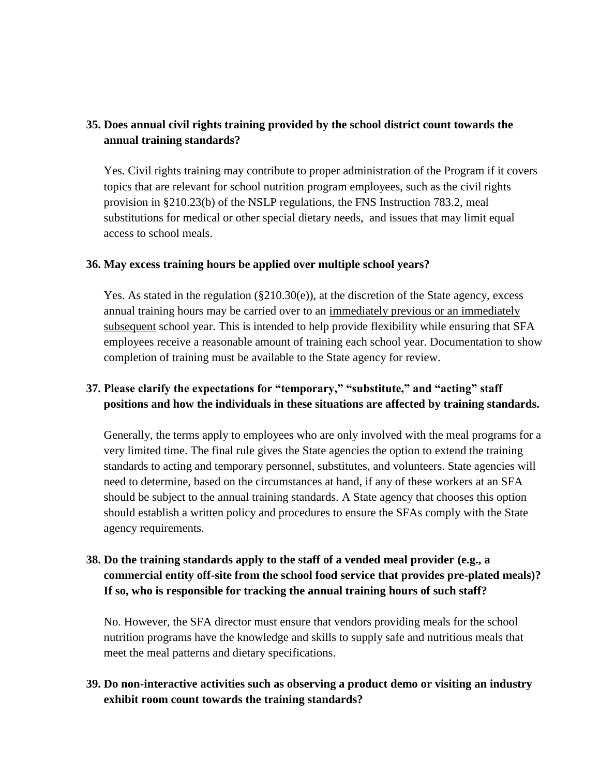### **35. Does annual civil rights training provided by the school district count towards the annual training standards?**

Yes. Civil rights training may contribute to proper administration of the Program if it covers topics that are relevant for school nutrition program employees, such as the civil rights provision in §210.23(b) of the NSLP regulations, the FNS Instruction 783.2, meal substitutions for medical or other special dietary needs, and issues that may limit equal access to school meals.

#### **36. May excess training hours be applied over multiple school years?**

Yes. As stated in the regulation  $(\S 210.30(e))$ , at the discretion of the State agency, excess annual training hours may be carried over to an immediately previous or an immediately subsequent school year. This is intended to help provide flexibility while ensuring that SFA employees receive a reasonable amount of training each school year. Documentation to show completion of training must be available to the State agency for review.

### **37. Please clarify the expectations for "temporary," "substitute," and "acting" staff positions and how the individuals in these situations are affected by training standards.**

Generally, the terms apply to employees who are only involved with the meal programs for a very limited time. The final rule gives the State agencies the option to extend the training standards to acting and temporary personnel, substitutes, and volunteers. State agencies will need to determine, based on the circumstances at hand, if any of these workers at an SFA should be subject to the annual training standards. A State agency that chooses this option should establish a written policy and procedures to ensure the SFAs comply with the State agency requirements.

### **38. Do the training standards apply to the staff of a vended meal provider (e.g., a commercial entity off-site from the school food service that provides pre-plated meals)? If so, who is responsible for tracking the annual training hours of such staff?**

No. However, the SFA director must ensure that vendors providing meals for the school nutrition programs have the knowledge and skills to supply safe and nutritious meals that meet the meal patterns and dietary specifications.

### **39. Do non-interactive activities such as observing a product demo or visiting an industry exhibit room count towards the training standards?**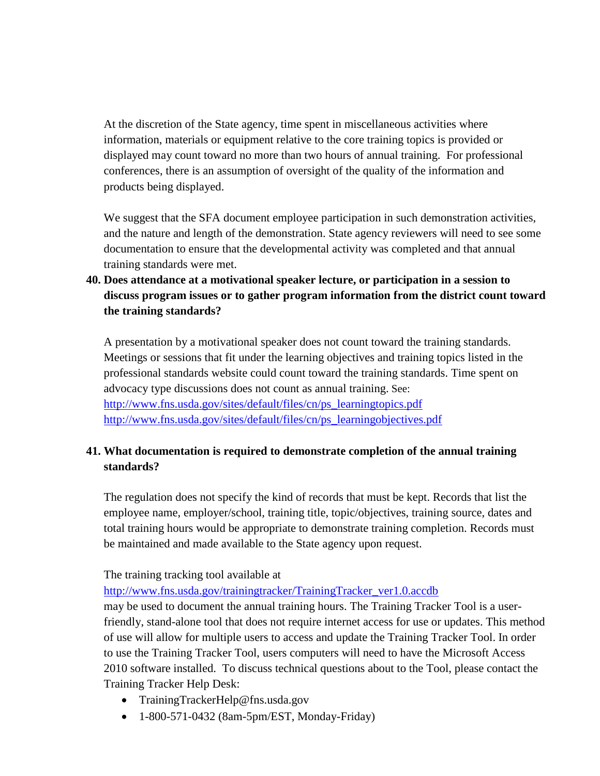At the discretion of the State agency, time spent in miscellaneous activities where information, materials or equipment relative to the core training topics is provided or displayed may count toward no more than two hours of annual training. For professional conferences, there is an assumption of oversight of the quality of the information and products being displayed.

We suggest that the SFA document employee participation in such demonstration activities, and the nature and length of the demonstration. State agency reviewers will need to see some documentation to ensure that the developmental activity was completed and that annual training standards were met.

### **40. Does attendance at a motivational speaker lecture, or participation in a session to discuss program issues or to gather program information from the district count toward the training standards?**

A presentation by a motivational speaker does not count toward the training standards. Meetings or sessions that fit under the learning objectives and training topics listed in the professional standards website could count toward the training standards. Time spent on advocacy type discussions does not count as annual training. See: [http://www.fns.usda.gov/sites/default/files/cn/ps\\_learningtopics.pdf](http://www.fns.usda.gov/sites/default/files/cn/ps_learningtopics.pdf) [http://www.fns.usda.gov/sites/default/files/cn/ps\\_learningobjectives.pdf](http://www.fns.usda.gov/sites/default/files/cn/ps_learningobjectives.pdf)

### **41. What documentation is required to demonstrate completion of the annual training standards?**

The regulation does not specify the kind of records that must be kept. Records that list the employee name, employer/school, training title, topic/objectives, training source, dates and total training hours would be appropriate to demonstrate training completion. Records must be maintained and made available to the State agency upon request.

The training tracking tool available at

[http://www.fns.usda.gov/trainingtracker/TrainingTracker\\_ver1.0.accdb](http://www.fns.usda.gov/trainingtracker/TrainingTracker_ver1.0.accdb)

may be used to document the annual training hours. The Training Tracker Tool is a userfriendly, stand-alone tool that does not require internet access for use or updates. This method of use will allow for multiple users to access and update the Training Tracker Tool. In order to use the Training Tracker Tool, users computers will need to have the Microsoft Access 2010 software installed. To discuss technical questions about to the Tool, please contact the Training Tracker Help Desk:

- TrainingTrackerHelp@fns.usda.gov
- 1-800-571-0432 (8am-5pm/EST, Monday-Friday)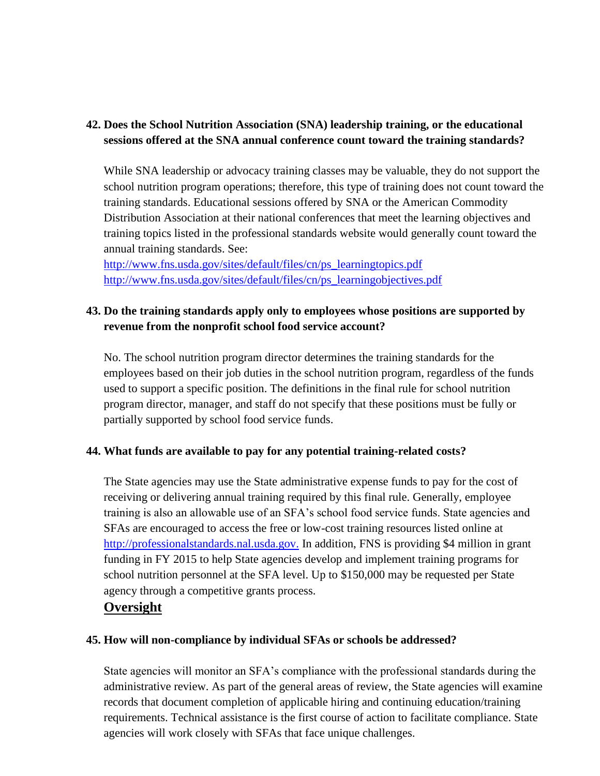### **42. Does the School Nutrition Association (SNA) leadership training, or the educational sessions offered at the SNA annual conference count toward the training standards?**

While SNA leadership or advocacy training classes may be valuable, they do not support the school nutrition program operations; therefore, this type of training does not count toward the training standards. Educational sessions offered by SNA or the American Commodity Distribution Association at their national conferences that meet the learning objectives and training topics listed in the professional standards website would generally count toward the annual training standards. See:

[http://www.fns.usda.gov/sites/default/files/cn/ps\\_learningtopics.pdf](http://www.fns.usda.gov/sites/default/files/cn/ps_learningtopics.pdf) [http://www.fns.usda.gov/sites/default/files/cn/ps\\_learningobjectives.pdf](http://www.fns.usda.gov/sites/default/files/cn/ps_learningobjectives.pdf)

### **43. Do the training standards apply only to employees whose positions are supported by revenue from the nonprofit school food service account?**

No. The school nutrition program director determines the training standards for the employees based on their job duties in the school nutrition program, regardless of the funds used to support a specific position. The definitions in the final rule for school nutrition program director, manager, and staff do not specify that these positions must be fully or partially supported by school food service funds.

#### **44. What funds are available to pay for any potential training-related costs?**

The State agencies may use the State administrative expense funds to pay for the cost of receiving or delivering annual training required by this final rule. Generally, employee training is also an allowable use of an SFA's school food service funds. State agencies and SFAs are encouraged to access the free or low-cost training resources listed online at [http://professionalstandards.nal.usda.gov.](http://professionalstandards.nal.usda.gov/) In addition, FNS is providing \$4 million in grant funding in FY 2015 to help State agencies develop and implement training programs for school nutrition personnel at the SFA level. Up to \$150,000 may be requested per State agency through a competitive grants process.

### **Oversight**

#### **45. How will non-compliance by individual SFAs or schools be addressed?**

State agencies will monitor an SFA's compliance with the professional standards during the administrative review. As part of the general areas of review, the State agencies will examine records that document completion of applicable hiring and continuing education/training requirements. Technical assistance is the first course of action to facilitate compliance. State agencies will work closely with SFAs that face unique challenges.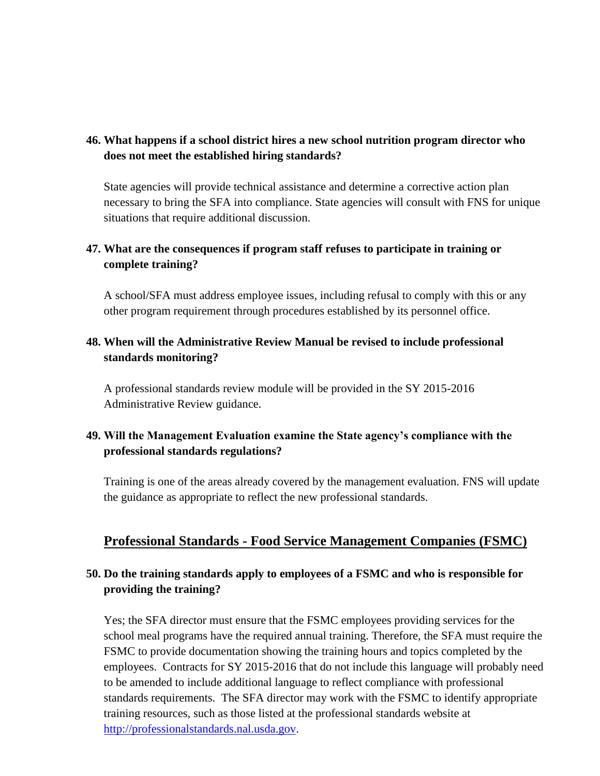### **46. What happens if a school district hires a new school nutrition program director who does not meet the established hiring standards?**

State agencies will provide technical assistance and determine a corrective action plan necessary to bring the SFA into compliance. State agencies will consult with FNS for unique situations that require additional discussion.

### **47. What are the consequences if program staff refuses to participate in training or complete training?**

A school/SFA must address employee issues, including refusal to comply with this or any other program requirement through procedures established by its personnel office.

### **48. When will the Administrative Review Manual be revised to include professional standards monitoring?**

A professional standards review module will be provided in the SY 2015-2016 Administrative Review guidance.

### **49. Will the Management Evaluation examine the State agency's compliance with the professional standards regulations?**

Training is one of the areas already covered by the management evaluation. FNS will update the guidance as appropriate to reflect the new professional standards.

### **Professional Standards - Food Service Management Companies (FSMC)**

### **50. Do the training standards apply to employees of a FSMC and who is responsible for providing the training?**

Yes; the SFA director must ensure that the FSMC employees providing services for the school meal programs have the required annual training. Therefore, the SFA must require the FSMC to provide documentation showing the training hours and topics completed by the employees. Contracts for SY 2015-2016 that do not include this language will probably need to be amended to include additional language to reflect compliance with professional standards requirements. The SFA director may work with the FSMC to identify appropriate training resources, such as those listed at the professional standards website at [http://professionalstandards.nal.usda.gov.](http://professionalstandards.nal.usda.gov/)